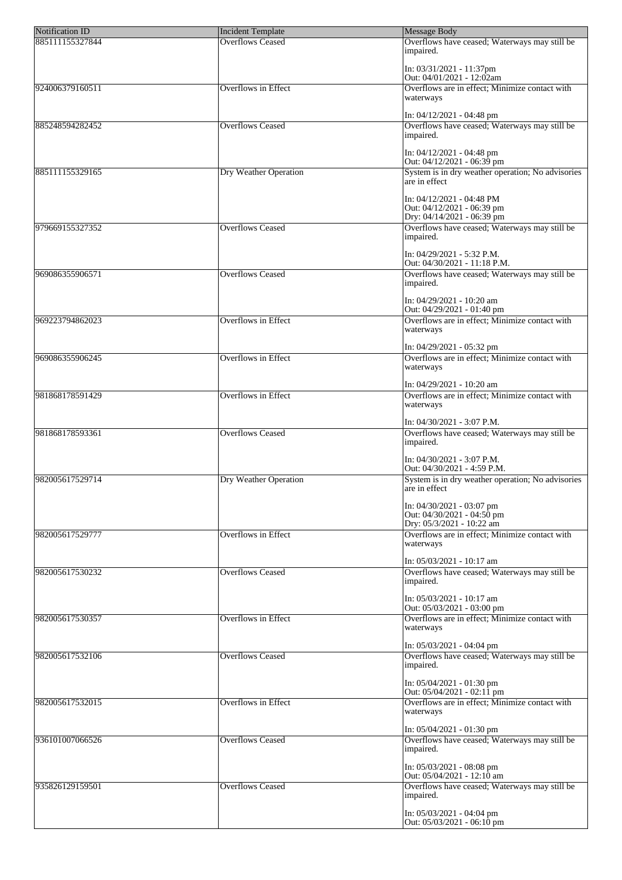| <b>Notification ID</b> | <b>Incident Template</b>     | Message Body                                                                             |
|------------------------|------------------------------|------------------------------------------------------------------------------------------|
| 885111155327844        | <b>Overflows Ceased</b>      | Overflows have ceased; Waterways may still be<br>impaired.                               |
|                        |                              | In: 03/31/2021 - 11:37pm<br>Out: 04/01/2021 - 12:02am                                    |
| 924006379160511        | <b>Overflows in Effect</b>   | Overflows are in effect; Minimize contact with<br>waterways                              |
|                        |                              | In: 04/12/2021 - 04:48 pm                                                                |
| 885248594282452        | <b>Overflows Ceased</b>      | Overflows have ceased; Waterways may still be<br>impaired.                               |
|                        |                              | In: 04/12/2021 - 04:48 pm<br>Out: 04/12/2021 - 06:39 pm                                  |
| 885111155329165        | <b>Dry Weather Operation</b> | System is in dry weather operation; No advisories<br>are in effect                       |
|                        |                              | In: 04/12/2021 - 04:48 PM<br>Out: $04/12/2021 - 06:39$ pm<br>Dry: 04/14/2021 - 06:39 pm  |
| 979669155327352        | <b>Overflows Ceased</b>      | Overflows have ceased; Waterways may still be<br>impaired.                               |
|                        |                              | In: 04/29/2021 - 5:32 P.M.<br>Out: 04/30/2021 - 11:18 P.M.                               |
| 969086355906571        | <b>Overflows Ceased</b>      | Overflows have ceased; Waterways may still be<br>impaired.                               |
|                        |                              | In: 04/29/2021 - 10:20 am<br>Out: $04/29/2021 - 01:40$ pm                                |
| 969223794862023        | <b>Overflows in Effect</b>   | Overflows are in effect; Minimize contact with<br>waterways                              |
|                        |                              | In: 04/29/2021 - 05:32 pm                                                                |
| 969086355906245        | Overflows in Effect          | Overflows are in effect; Minimize contact with<br>waterways                              |
| 981868178591429        | <b>Overflows in Effect</b>   | In: 04/29/2021 - 10:20 am<br>Overflows are in effect; Minimize contact with<br>waterways |
|                        |                              | In: 04/30/2021 - 3:07 P.M.                                                               |
| 981868178593361        | <b>Overflows Ceased</b>      | Overflows have ceased; Waterways may still be<br>impaired.                               |
|                        |                              | In: 04/30/2021 - 3:07 P.M.<br>Out: 04/30/2021 - 4:59 P.M.                                |
| 982005617529714        | Dry Weather Operation        | System is in dry weather operation; No advisories<br>are in effect                       |
|                        |                              | In: 04/30/2021 - 03:07 pm<br> Out: 04/30/2021 - 04:50 pm<br>Dry: 05/3/2021 - 10:22 am    |
| 982005617529777        | <b>Overflows in Effect</b>   | Overflows are in effect; Minimize contact with<br>waterways                              |
|                        |                              | In: 05/03/2021 - 10:17 am                                                                |
| 982005617530232        | <b>Overflows Ceased</b>      | Overflows have ceased; Waterways may still be<br>impaired.                               |
|                        |                              | In: 05/03/2021 - 10:17 am<br>Out: 05/03/2021 - 03:00 pm                                  |
| 982005617530357        | <b>Overflows</b> in Effect   | Overflows are in effect; Minimize contact with<br>waterways                              |
|                        |                              | In: 05/03/2021 - 04:04 pm                                                                |
| 982005617532106        | <b>Overflows Ceased</b>      | Overflows have ceased; Waterways may still be<br>impaired.                               |
|                        |                              | In: 05/04/2021 - 01:30 pm<br>Out: $05/04/2021 - 02:11$ pm                                |
| 982005617532015        | Overflows in Effect          | Overflows are in effect; Minimize contact with<br>waterways                              |
| 936101007066526        | <b>Overflows Ceased</b>      | In: 05/04/2021 - 01:30 pm<br>Overflows have ceased; Waterways may still be<br>impaired.  |
|                        |                              | In: 05/03/2021 - 08:08 pm<br> Out: 05/04/2021 - 12:10 am                                 |
| 935826129159501        | <b>Overflows Ceased</b>      | Overflows have ceased; Waterways may still be                                            |
|                        |                              | impaired.                                                                                |
|                        |                              | In: 05/03/2021 - 04:04 pm<br>Out: $05/03/2021 - 06:10 \text{ pm}$                        |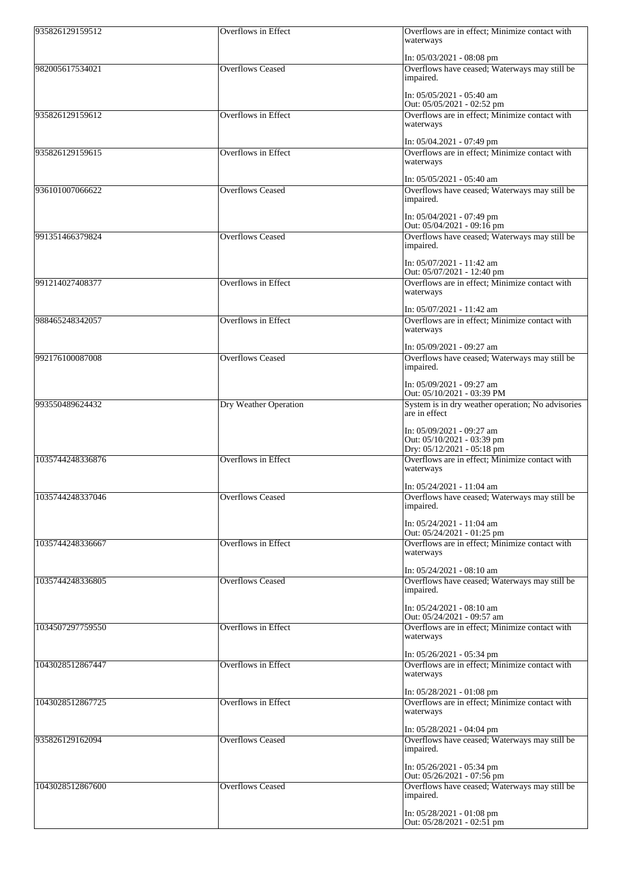| 935826129159512  | <b>Overflows</b> in Effect | Overflows are in effect; Minimize contact with<br>waterways                                                            |
|------------------|----------------------------|------------------------------------------------------------------------------------------------------------------------|
| 982005617534021  | <b>Overflows Ceased</b>    | In: 05/03/2021 - 08:08 pm<br>Overflows have ceased; Waterways may still be<br>impaired.                                |
| 935826129159612  | <b>Overflows in Effect</b> | In: 05/05/2021 - 05:40 am<br>Out: 05/05/2021 - 02:52 pm<br>Overflows are in effect; Minimize contact with<br>waterways |
| 935826129159615  | Overflows in Effect        | In: 05/04.2021 - 07:49 pm<br>Overflows are in effect; Minimize contact with<br>waterways                               |
| 936101007066622  | <b>Overflows Ceased</b>    | In: 05/05/2021 - 05:40 am<br>Overflows have ceased; Waterways may still be                                             |
|                  |                            | impaired.<br>In: 05/04/2021 - 07:49 pm                                                                                 |
| 991351466379824  | <b>Overflows Ceased</b>    | Out: $05/04/2021 - 09:16$ pm<br>Overflows have ceased; Waterways may still be<br>impaired.                             |
| 991214027408377  | <b>Overflows in Effect</b> | In: 05/07/2021 - 11:42 am<br>Out: 05/07/2021 - 12:40 pm<br>Overflows are in effect; Minimize contact with<br>waterways |
| 988465248342057  | <b>Overflows in Effect</b> | In: 05/07/2021 - 11:42 am<br>Overflows are in effect; Minimize contact with                                            |
|                  |                            | waterways<br>In: 05/09/2021 - 09:27 am                                                                                 |
| 992176100087008  | <b>Overflows Ceased</b>    | Overflows have ceased; Waterways may still be<br>impaired.                                                             |
|                  |                            | In: 05/09/2021 - 09:27 am<br>Out: 05/10/2021 - 03:39 PM                                                                |
| 993550489624432  | Dry Weather Operation      | System is in dry weather operation; No advisories<br>are in effect                                                     |
|                  |                            | In: 05/09/2021 - 09:27 am<br>Out: 05/10/2021 - 03:39 pm<br>Dry: 05/12/2021 - 05:18 pm                                  |
| 1035744248336876 | <b>Overflows</b> in Effect | Overflows are in effect; Minimize contact with<br>waterways                                                            |
| 1035744248337046 | <b>Overflows Ceased</b>    | In: 05/24/2021 - 11:04 am<br>Overflows have ceased; Waterways may still be<br>impaired.                                |
| 1035744248336667 | <b>Overflows in Effect</b> | In: 05/24/2021 - 11:04 am<br>Out: 05/24/2021 - 01:25 pm<br>Overflows are in effect; Minimize contact with<br>waterways |
| 1035744248336805 | <b>Overflows Ceased</b>    | In: 05/24/2021 - 08:10 am<br>Overflows have ceased; Waterways may still be<br>impaired.                                |
| 1034507297759550 | <b>Overflows</b> in Effect | In: 05/24/2021 - 08:10 am<br>Out: 05/24/2021 - 09:57 am<br>Overflows are in effect; Minimize contact with              |
|                  |                            | waterways<br>In: 05/26/2021 - 05:34 pm                                                                                 |
| 1043028512867447 | <b>Overflows in Effect</b> | Overflows are in effect; Minimize contact with<br>waterways                                                            |
| 1043028512867725 | Overflows in Effect        | In: 05/28/2021 - 01:08 pm<br>Overflows are in effect; Minimize contact with                                            |
|                  |                            | waterways<br>In: 05/28/2021 - 04:04 pm                                                                                 |
| 935826129162094  | <b>Overflows Ceased</b>    | Overflows have ceased; Waterways may still be<br>impaired.                                                             |
|                  |                            | In: 05/26/2021 - 05:34 pm<br>Out: $05/26/2021 - 07:56$ pm                                                              |
| 1043028512867600 | <b>Overflows Ceased</b>    | Overflows have ceased; Waterways may still be<br>impaired.                                                             |
|                  |                            | In: 05/28/2021 - 01:08 pm<br>Out: $05/28/2021 - 02:51$ pm                                                              |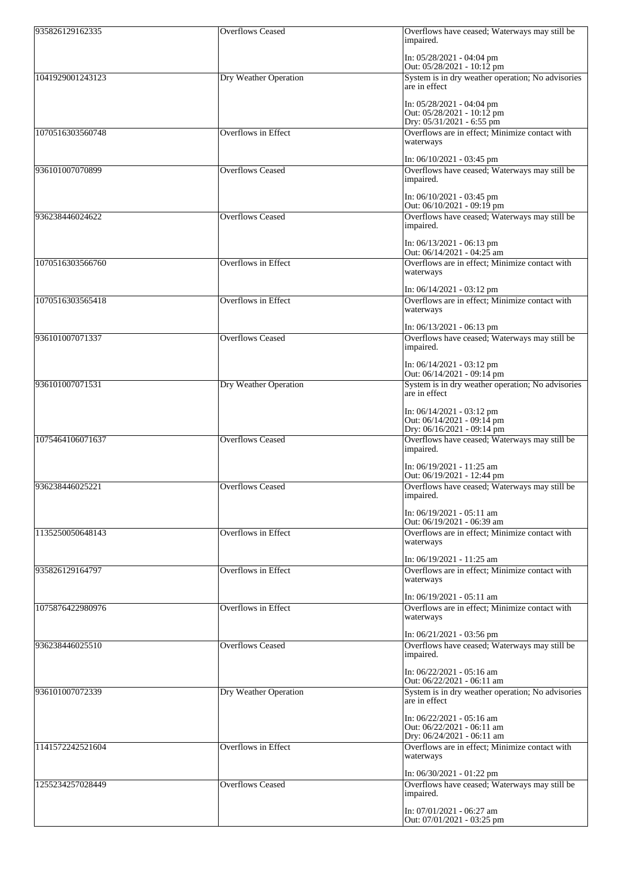| 935826129162335  | <b>Overflows Ceased</b>      | Overflows have ceased; Waterways may still be<br>impaired.                    |
|------------------|------------------------------|-------------------------------------------------------------------------------|
|                  |                              | In: $05/28/2021 - 04:04 \text{ pm}$<br>Out: 05/28/2021 - 10:12 pm             |
| 1041929001243123 | Dry Weather Operation        | System is in dry weather operation; No advisories<br>are in effect            |
|                  |                              | In: $05/28/2021 - 04:04 \text{ pm}$<br>Out: 05/28/2021 - 10:12 pm             |
| 1070516303560748 | <b>Overflows in Effect</b>   | Dry: 05/31/2021 - 6:55 pm<br>Overflows are in effect; Minimize contact with   |
|                  |                              | waterways                                                                     |
| 936101007070899  | <b>Overflows Ceased</b>      | In: $06/10/2021 - 03:45$ pm<br>Overflows have ceased; Waterways may still be  |
|                  |                              | impaired.<br>In: $06/10/2021 - 03:45$ pm                                      |
|                  |                              | Out: $06/10/2021 - 09:19$ pm                                                  |
| 936238446024622  | <b>Overflows Ceased</b>      | Overflows have ceased; Waterways may still be<br>impaired.                    |
|                  |                              | In: $06/13/2021 - 06:13$ pm<br>Out: $06/14/2021 - 04:25$ am                   |
| 1070516303566760 | <b>Overflows</b> in Effect   | Overflows are in effect; Minimize contact with                                |
|                  |                              | waterways                                                                     |
| 1070516303565418 | <b>Overflows</b> in Effect   | In: $06/14/2021 - 03:12$ pm<br>Overflows are in effect; Minimize contact with |
|                  |                              | waterways                                                                     |
| 936101007071337  | <b>Overflows Ceased</b>      | In: $06/13/2021 - 06:13$ pm                                                   |
|                  |                              | Overflows have ceased; Waterways may still be<br>impaired.                    |
|                  |                              | In: $06/14/2021 - 03:12$ pm<br>Out: 06/14/2021 - 09:14 pm                     |
| 936101007071531  | <b>Dry Weather Operation</b> | System is in dry weather operation; No advisories<br>are in effect            |
|                  |                              | In: $06/14/2021 - 03:12$ pm                                                   |
|                  |                              | Out: 06/14/2021 - 09:14 pm<br>Dry: 06/16/2021 - 09:14 pm                      |
| 1075464106071637 | <b>Overflows Ceased</b>      | Overflows have ceased; Waterways may still be                                 |
|                  |                              | impaired.                                                                     |
|                  |                              | In: $06/19/2021 - 11:25$ am<br>Out: 06/19/2021 - 12:44 pm                     |
| 936238446025221  | <b>Overflows Ceased</b>      | Overflows have ceased; Waterways may still be<br>impaired.                    |
|                  |                              | In: $06/19/2021 - 05:11$ am                                                   |
| 1135250050648143 | <b>Overflows in Effect</b>   | Out: 06/19/2021 - 06:39 am<br>Overflows are in effect; Minimize contact with  |
|                  |                              | waterways                                                                     |
| 935826129164797  | <b>Overflows in Effect</b>   | In: $06/19/2021 - 11:25$ am<br>Overflows are in effect; Minimize contact with |
|                  |                              | waterways                                                                     |
|                  |                              | In: $06/19/2021 - 05:11$ am                                                   |
| 1075876422980976 | Overflows in Effect          | Overflows are in effect; Minimize contact with<br>waterways                   |
|                  |                              | In: $06/21/2021 - 03:56$ pm                                                   |
| 936238446025510  | <b>Overflows Ceased</b>      | Overflows have ceased; Waterways may still be<br>impaired.                    |
|                  |                              | In: $06/22/2021 - 05:16$ am<br>Out: 06/22/2021 - 06:11 am                     |
| 936101007072339  | Dry Weather Operation        | System is in dry weather operation; No advisories<br>are in effect            |
|                  |                              | In: 06/22/2021 - 05:16 am                                                     |
|                  |                              | Out: 06/22/2021 - 06:11 am<br>Dry: 06/24/2021 - 06:11 am                      |
| 1141572242521604 | Overflows in Effect          | Overflows are in effect; Minimize contact with<br>waterways                   |
|                  |                              | In: $06/30/2021 - 01:22$ pm                                                   |
| 1255234257028449 | <b>Overflows Ceased</b>      | Overflows have ceased; Waterways may still be<br>impaired.                    |
|                  |                              | In: $07/01/2021 - 06:27$ am                                                   |
|                  |                              | Out: 07/01/2021 - 03:25 pm                                                    |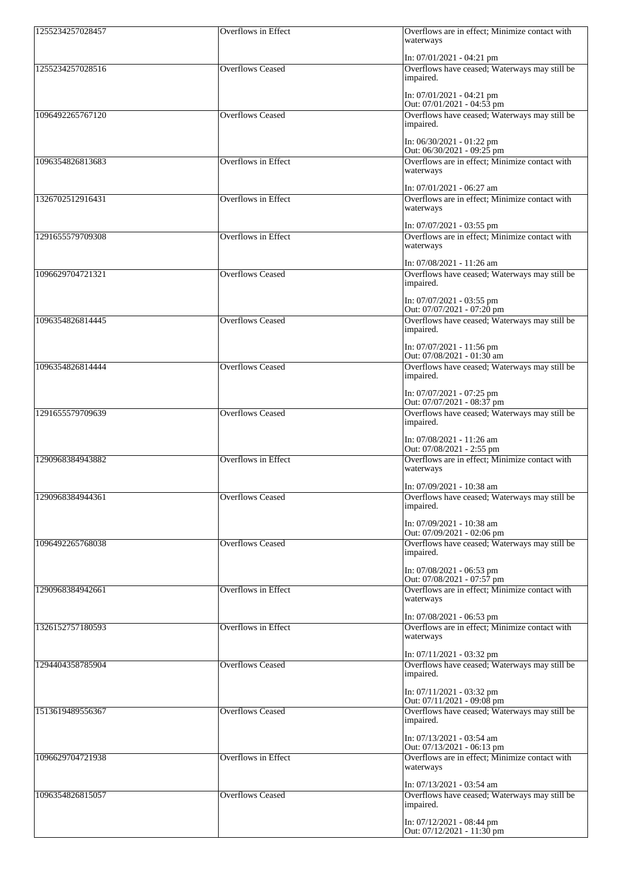| 1255234257028457 | <b>Overflows</b> in Effect | Overflows are in effect; Minimize contact with<br>waterways                   |
|------------------|----------------------------|-------------------------------------------------------------------------------|
|                  |                            | In: $07/01/2021 - 04:21$ pm                                                   |
| 1255234257028516 | <b>Overflows Ceased</b>    | Overflows have ceased; Waterways may still be<br>impaired.                    |
|                  |                            | In: $07/01/2021 - 04:21$ pm<br>Out: 07/01/2021 - 04:53 pm                     |
| 1096492265767120 | <b>Overflows Ceased</b>    | Overflows have ceased; Waterways may still be<br>impaired.                    |
|                  |                            | In: 06/30/2021 - 01:22 pm<br>Out: 06/30/2021 - 09:25 pm                       |
| 1096354826813683 | <b>Overflows</b> in Effect | Overflows are in effect; Minimize contact with<br>waterways                   |
| 1326702512916431 | <b>Overflows</b> in Effect | In: 07/01/2021 - 06:27 am<br>Overflows are in effect; Minimize contact with   |
|                  |                            | waterways                                                                     |
| 1291655579709308 | <b>Overflows</b> in Effect | In: $07/07/2021 - 03:55$ pm<br>Overflows are in effect; Minimize contact with |
|                  |                            | waterways                                                                     |
| 1096629704721321 | <b>Overflows Ceased</b>    | In: 07/08/2021 - 11:26 am<br>Overflows have ceased; Waterways may still be    |
|                  |                            | impaired.                                                                     |
|                  |                            | In: $07/07/2021 - 03:55$ pm<br>Out: $07/07/2021 - 07:20$ pm                   |
| 1096354826814445 | <b>Overflows Ceased</b>    | Overflows have ceased; Waterways may still be<br>impaired.                    |
|                  |                            | In: 07/07/2021 - 11:56 pm<br>Out: 07/08/2021 - 01:30 am                       |
| 1096354826814444 | <b>Overflows Ceased</b>    | Overflows have ceased; Waterways may still be<br>impaired.                    |
|                  |                            | In: 07/07/2021 - 07:25 pm<br>Out: 07/07/2021 - 08:37 pm                       |
| 1291655579709639 | <b>Overflows Ceased</b>    | Overflows have ceased; Waterways may still be<br>impaired.                    |
|                  |                            | In: 07/08/2021 - 11:26 am<br>Out: 07/08/2021 - 2:55 pm                        |
| 1290968384943882 | <b>Overflows in Effect</b> | Overflows are in effect; Minimize contact with<br>waterways                   |
|                  |                            | In: 07/09/2021 - 10:38 am                                                     |
| 1290968384944361 | <b>Overflows Ceased</b>    | Overflows have ceased; Waterways may still be<br>impaired.                    |
|                  |                            | In: 07/09/2021 - 10:38 am<br>Out: 07/09/2021 - 02:06 pm                       |
| 1096492265768038 | <b>Overflows Ceased</b>    | Overflows have ceased; Waterways may still be<br>impaired.                    |
|                  |                            | In: 07/08/2021 - 06:53 pm<br>Out: $07/08/2021 - 07:57$ pm                     |
| 1290968384942661 | <b>Overflows in Effect</b> | Overflows are in effect; Minimize contact with<br>waterways                   |
|                  |                            | In: 07/08/2021 - 06:53 pm                                                     |
| 1326152757180593 | <b>Overflows in Effect</b> | Overflows are in effect; Minimize contact with<br>waterways                   |
|                  |                            | $In: 07/11/2021 - 03:32$ pm                                                   |
| 1294404358785904 | <b>Overflows Ceased</b>    | Overflows have ceased; Waterways may still be<br>impaired.                    |
|                  |                            | In: 07/11/2021 - 03:32 pm<br>Out: 07/11/2021 - 09:08 pm                       |
| 1513619489556367 | <b>Overflows Ceased</b>    | Overflows have ceased; Waterways may still be<br>impaired.                    |
|                  |                            | In: 07/13/2021 - 03:54 am<br>Out: 07/13/2021 - 06:13 pm                       |
| 1096629704721938 | <b>Overflows in Effect</b> | Overflows are in effect; Minimize contact with<br>waterways                   |
|                  |                            | In: 07/13/2021 - 03:54 am                                                     |
| 1096354826815057 | <b>Overflows Ceased</b>    | Overflows have ceased; Waterways may still be<br>impaired.                    |
|                  |                            | In: 07/12/2021 - 08:44 pm<br>Out: $07/12/2021 - 11:30$ pm                     |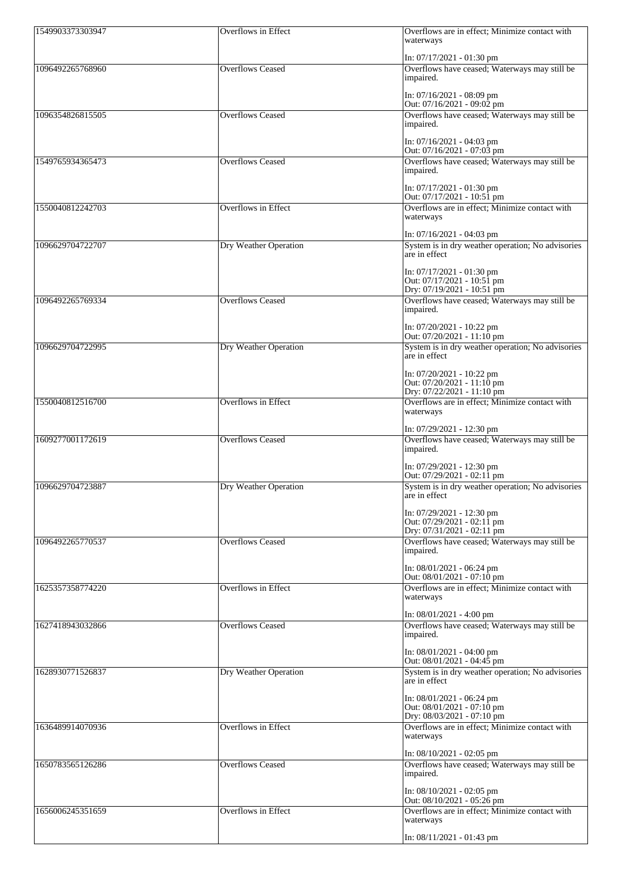| 1549903373303947 | <b>Overflows in Effect</b>   | Overflows are in effect; Minimize contact with<br>waterways                                |
|------------------|------------------------------|--------------------------------------------------------------------------------------------|
|                  |                              | In: $07/17/2021 - 01:30$ pm                                                                |
| 1096492265768960 | <b>Overflows Ceased</b>      | Overflows have ceased; Waterways may still be<br>impaired.                                 |
|                  |                              | In: 07/16/2021 - 08:09 pm                                                                  |
| 1096354826815505 | <b>Overflows Ceased</b>      | Out: $07/16/2021 - 09:02$ pm<br>Overflows have ceased; Waterways may still be<br>impaired. |
|                  |                              | In: $07/16/2021 - 04:03$ pm<br>Out: 07/16/2021 - 07:03 pm                                  |
| 1549765934365473 | <b>Overflows Ceased</b>      | Overflows have ceased; Waterways may still be<br>impaired.                                 |
|                  |                              | In: $07/17/2021 - 01:30$ pm<br>Out: $07/17/2021 - 10:51$ pm                                |
| 1550040812242703 | <b>Overflows in Effect</b>   | Overflows are in effect; Minimize contact with<br>waterways                                |
| 1096629704722707 | <b>Dry Weather Operation</b> | In: $07/16/2021 - 04:03$ pm<br>System is in dry weather operation; No advisories           |
|                  |                              | are in effect                                                                              |
|                  |                              | In: 07/17/2021 - 01:30 pm<br>Out: 07/17/2021 - 10:51 pm                                    |
| 1096492265769334 | <b>Overflows Ceased</b>      | Dry: 07/19/2021 - 10:51 pm<br>Overflows have ceased; Waterways may still be<br>impaired.   |
|                  |                              | In: 07/20/2021 - 10:22 pm<br>Out: $07/20/2021 - 11:10$ pm                                  |
| 1096629704722995 | Dry Weather Operation        | System is in dry weather operation; No advisories<br>are in effect                         |
|                  |                              | In: 07/20/2021 - 10:22 pm<br>Out: 07/20/2021 - 11:10 pm<br>Dry: 07/22/2021 - 11:10 pm      |
| 1550040812516700 | <b>Overflows in Effect</b>   | Overflows are in effect; Minimize contact with<br>waterways                                |
| 1609277001172619 | <b>Overflows Ceased</b>      | In: 07/29/2021 - 12:30 pm<br>Overflows have ceased; Waterways may still be<br>impaired.    |
|                  |                              | In: $07/29/2021 - 12:30$ pm<br>Out: $07/29/2021 - 02:11$ pm                                |
| 1096629704723887 | Dry Weather Operation        | System is in dry weather operation; No advisories<br>are in effect                         |
|                  |                              | In: 07/29/2021 - 12:30 pm<br>Out: $07/29/2021 - 02:11$ pm                                  |
|                  |                              | Dry: 07/31/2021 - 02:11 pm                                                                 |
| 1096492265770537 | <b>Overflows Ceased</b>      | Overflows have ceased; Waterways may still be<br>impaired.                                 |
|                  |                              | In: $08/01/2021 - 06:24$ pm<br>Out: $08/01/2021 - 07:10$ pm                                |
| 1625357358774220 | <b>Overflows in Effect</b>   | Overflows are in effect; Minimize contact with<br>waterways                                |
|                  |                              | In: 08/01/2021 - 4:00 pm                                                                   |
| 1627418943032866 | <b>Overflows Ceased</b>      | Overflows have ceased; Waterways may still be<br>impaired.                                 |
|                  |                              | In: $08/01/2021 - 04:00$ pm<br>Out: $08/01/2021 - 04:45$ pm                                |
| 1628930771526837 | Dry Weather Operation        | System is in dry weather operation; No advisories<br>are in effect                         |
|                  |                              | In: 08/01/2021 - 06:24 pm<br>Out: $08/01/2021 - 07:10$ pm<br>Dry: 08/03/2021 - 07:10 pm    |
| 1636489914070936 | <b>Overflows in Effect</b>   | Overflows are in effect; Minimize contact with<br>waterways                                |
|                  |                              | In: $08/10/2021 - 02:05$ pm                                                                |
| 1650783565126286 | <b>Overflows Ceased</b>      | Overflows have ceased; Waterways may still be<br>impaired.                                 |
|                  |                              | In: $08/10/2021 - 02:05$ pm<br>Out: 08/10/2021 - 05:26 pm                                  |
| 1656006245351659 | Overflows in Effect          | Overflows are in effect; Minimize contact with<br>waterways                                |
|                  |                              | $In: 08/11/2021 - 01:43$ pm                                                                |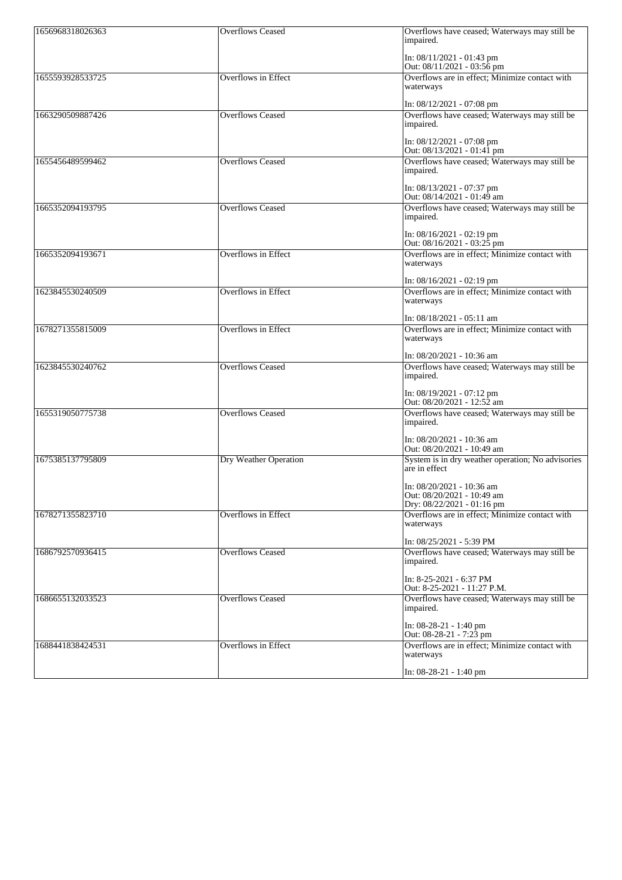| 1656968318026363 | <b>Overflows Ceased</b>      | Overflows have ceased; Waterways may still be<br>impaired.                            |
|------------------|------------------------------|---------------------------------------------------------------------------------------|
|                  |                              | In: $08/11/2021 - 01:43$ pm<br>Out: 08/11/2021 - 03:56 pm                             |
| 1655593928533725 | <b>Overflows</b> in Effect   | Overflows are in effect; Minimize contact with<br>waterways                           |
|                  |                              | In: $08/12/2021 - 07:08$ pm                                                           |
| 1663290509887426 | <b>Overflows Ceased</b>      | Overflows have ceased; Waterways may still be<br>impaired.                            |
|                  |                              | In: $08/12/2021 - 07:08$ pm<br>Out: 08/13/2021 - 01:41 pm                             |
| 1655456489599462 | <b>Overflows Ceased</b>      | Overflows have ceased; Waterways may still be<br>impaired.                            |
|                  |                              | In: $08/13/2021 - 07:37$ pm<br>Out: 08/14/2021 - 01:49 am                             |
| 1665352094193795 | <b>Overflows Ceased</b>      | Overflows have ceased; Waterways may still be<br>impaired.                            |
|                  |                              | In: $08/16/2021 - 02:19$ pm<br>Out: $08/16/2021 - 03:25$ pm                           |
| 1665352094193671 | <b>Overflows in Effect</b>   | Overflows are in effect; Minimize contact with<br>waterways                           |
|                  |                              | In: $08/16/2021 - 02:19$ pm                                                           |
| 1623845530240509 | <b>Overflows in Effect</b>   | Overflows are in effect; Minimize contact with<br>waterways                           |
|                  |                              | In: 08/18/2021 - 05:11 am                                                             |
| 1678271355815009 | <b>Overflows in Effect</b>   | Overflows are in effect; Minimize contact with<br>waterways                           |
|                  |                              | In: 08/20/2021 - 10:36 am                                                             |
| 1623845530240762 | <b>Overflows Ceased</b>      | Overflows have ceased; Waterways may still be<br>impaired.                            |
|                  |                              | In: $08/19/2021 - 07:12$ pm<br>Out: $08/20/2021 - 12:52$ am                           |
| 1655319050775738 | <b>Overflows Ceased</b>      | Overflows have ceased; Waterways may still be<br>impaired.                            |
|                  |                              | In: 08/20/2021 - 10:36 am<br>Out: 08/20/2021 - 10:49 am                               |
| 1675385137795809 | <b>Dry Weather Operation</b> | System is in dry weather operation; No advisories<br>are in effect                    |
|                  |                              | In: 08/20/2021 - 10:36 am<br>Out: 08/20/2021 - 10:49 am<br>Dry: 08/22/2021 - 01:16 pm |
| 1678271355823710 | <b>Overflows in Effect</b>   | Overflows are in effect; Minimize contact with<br>waterways                           |
|                  |                              | In: 08/25/2021 - 5:39 PM                                                              |
| 1686792570936415 | <b>Overflows Ceased</b>      | Overflows have ceased; Waterways may still be<br>impaired.                            |
|                  |                              | In: 8-25-2021 - 6:37 PM<br>Out: 8-25-2021 - 11:27 P.M.                                |
| 1686655132033523 | <b>Overflows Ceased</b>      | Overflows have ceased; Waterways may still be<br>impaired.                            |
|                  |                              | In: $08-28-21 - 1:40$ pm<br>Out: 08-28-21 - 7:23 pm                                   |
| 1688441838424531 | Overflows in Effect          | Overflows are in effect; Minimize contact with                                        |
|                  |                              | waterways                                                                             |

| $\text{In: } 08 - 28 - 2$<br>!:40 pm<br>-41<br>_<br>and the contract of the contract of the contract of the contract of the contract of the contract of the contract of the contract of the contract of the contract of the contract of the contract of the contract of the contra |  |
|------------------------------------------------------------------------------------------------------------------------------------------------------------------------------------------------------------------------------------------------------------------------------------|--|
|------------------------------------------------------------------------------------------------------------------------------------------------------------------------------------------------------------------------------------------------------------------------------------|--|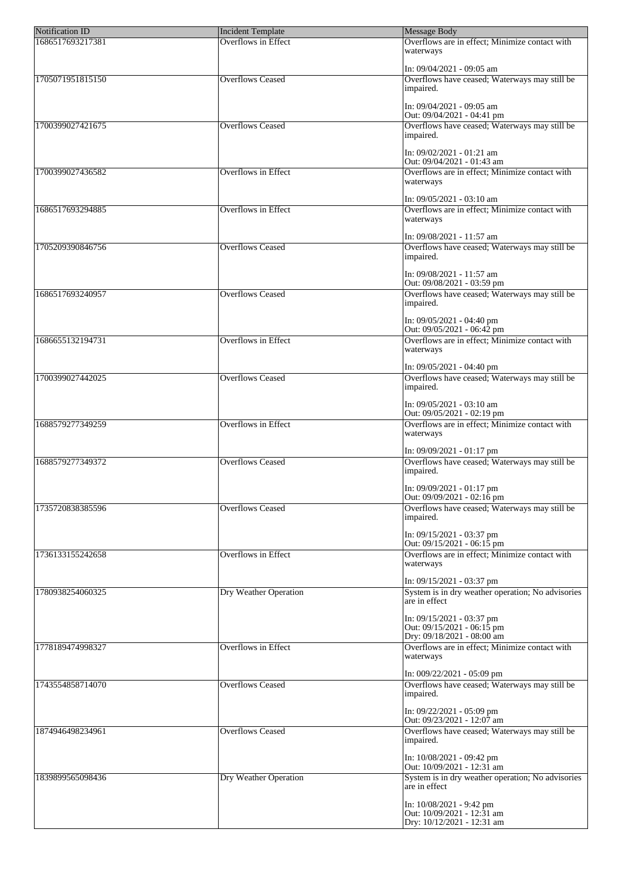| <b>Notification ID</b> | Incident Template          | Message Body                                                                              |
|------------------------|----------------------------|-------------------------------------------------------------------------------------------|
| 1686517693217381       | Overflows in Effect        | Overflows are in effect; Minimize contact with<br>waterways                               |
|                        |                            | In: 09/04/2021 - 09:05 am                                                                 |
| 1705071951815150       | <b>Overflows Ceased</b>    | Overflows have ceased; Waterways may still be<br>impaired.                                |
|                        |                            | In: 09/04/2021 - 09:05 am<br>Out: 09/04/2021 - 04:41 pm                                   |
| 1700399027421675       | <b>Overflows Ceased</b>    | Overflows have ceased; Waterways may still be<br>impaired.                                |
|                        |                            | In: 09/02/2021 - 01:21 am                                                                 |
| 1700399027436582       | <b>Overflows in Effect</b> | Out: 09/04/2021 - 01:43 am<br>Overflows are in effect; Minimize contact with<br>waterways |
|                        |                            |                                                                                           |
| 1686517693294885       | <b>Overflows in Effect</b> | In: 09/05/2021 - 03:10 am<br>Overflows are in effect; Minimize contact with<br>waterways  |
|                        |                            |                                                                                           |
|                        |                            | In: 09/08/2021 - 11:57 am                                                                 |
| 1705209390846756       | <b>Overflows Ceased</b>    | Overflows have ceased; Waterways may still be<br>impaired.                                |
|                        |                            | In: 09/08/2021 - 11:57 am<br>Out: 09/08/2021 - 03:59 pm                                   |
| 1686517693240957       | <b>Overflows Ceased</b>    | Overflows have ceased; Waterways may still be                                             |
|                        |                            | impaired.                                                                                 |
|                        |                            | In: 09/05/2021 - 04:40 pm<br>Out: 09/05/2021 - 06:42 pm                                   |
| 1686655132194731       | <b>Overflows in Effect</b> | Overflows are in effect; Minimize contact with<br>waterways                               |
|                        |                            | In: 09/05/2021 - 04:40 pm                                                                 |
| 1700399027442025       | <b>Overflows Ceased</b>    | Overflows have ceased; Waterways may still be                                             |
|                        |                            | impaired.                                                                                 |
|                        |                            | In: 09/05/2021 - 03:10 am<br>Out: 09/05/2021 - 02:19 pm                                   |
| 1688579277349259       | Overflows in Effect        | Overflows are in effect; Minimize contact with<br>waterways                               |
|                        |                            | $In: 09/09/2021 - 01:17$ pm                                                               |
| 1688579277349372       | <b>Overflows Ceased</b>    | Overflows have ceased; Waterways may still be                                             |
|                        |                            | impaired.<br>In: 09/09/2021 - 01:17 pm                                                    |
|                        |                            | Out: 09/09/2021 - 02:16 pm                                                                |
| 1735720838385596       | <b>Overflows Ceased</b>    | Overflows have ceased; Waterways may still be<br>impaired.                                |
|                        |                            | In: 09/15/2021 - 03:37 pm<br>Out: 09/15/2021 - 06:15 pm                                   |
| 1736133155242658       | <b>Overflows in Effect</b> | Overflows are in effect; Minimize contact with                                            |
|                        |                            | waterways                                                                                 |
|                        |                            | In: $09/15/2021 - 03:37$ pm                                                               |
| 1780938254060325       | Dry Weather Operation      | System is in dry weather operation; No advisories<br>are in effect                        |
|                        |                            | In: $09/15/2021 - 03:37$ pm<br>Out: $09/15/2021 - 06:15$ pm                               |
| 1778189474998327       | <b>Overflows in Effect</b> | Dry: 09/18/2021 - 08:00 am<br>Overflows are in effect; Minimize contact with              |
|                        |                            | waterways                                                                                 |
|                        |                            | In: 009/22/2021 - 05:09 pm                                                                |
| 1743554858714070       | <b>Overflows Ceased</b>    | Overflows have ceased; Waterways may still be<br>impaired.                                |
|                        |                            | In: $09/22/2021 - 05:09$ pm<br>Out: $09/23/2021 - 12:07$ am                               |
| 1874946498234961       | <b>Overflows Ceased</b>    | Overflows have ceased; Waterways may still be<br>impaired.                                |
|                        |                            | In: 10/08/2021 - 09:42 pm<br>Out: $10/09/2021 - 12:31$ am                                 |
| 1839899565098436       | Dry Weather Operation      | System is in dry weather operation; No advisories                                         |
|                        |                            | are in effect                                                                             |
|                        |                            | In: 10/08/2021 - 9:42 pm<br>Out: 10/09/2021 - 12:31 am                                    |
|                        |                            | Dry: 10/12/2021 - 12:31 am                                                                |